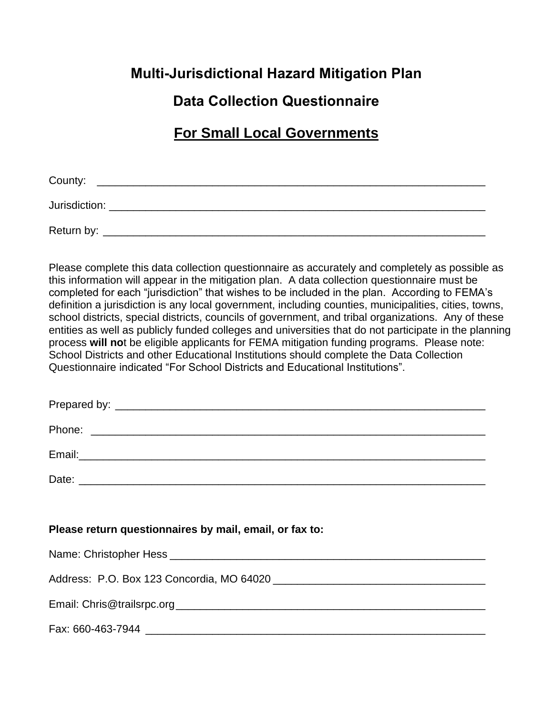## **Multi-Jurisdictional Hazard Mitigation Plan**

# **Data Collection Questionnaire**

## **For Small Local Governments**

| County:       |  |  |  |
|---------------|--|--|--|
| Jurisdiction: |  |  |  |
| Return by:    |  |  |  |

Please complete this data collection questionnaire as accurately and completely as possible as this information will appear in the mitigation plan. A data collection questionnaire must be completed for each "jurisdiction" that wishes to be included in the plan. According to FEMA's definition a jurisdiction is any local government, including counties, municipalities, cities, towns, school districts, special districts, councils of government, and tribal organizations. Any of these entities as well as publicly funded colleges and universities that do not participate in the planning process **will no**t be eligible applicants for FEMA mitigation funding programs. Please note: School Districts and other Educational Institutions should complete the Data Collection Questionnaire indicated "For School Districts and Educational Institutions".

### **Please return questionnaires by mail, email, or fax to:**

| Name: Christopher Hess                    |  |
|-------------------------------------------|--|
|                                           |  |
| Address: P.O. Box 123 Concordia, MO 64020 |  |
|                                           |  |
| Email: Chris@trailsrpc.org                |  |
|                                           |  |

Fax: 660-463-7944 \_\_\_\_\_\_\_\_\_\_\_\_\_\_\_\_\_\_\_\_\_\_\_\_\_\_\_\_\_\_\_\_\_\_\_\_\_\_\_\_\_\_\_\_\_\_\_\_\_\_\_\_\_\_\_\_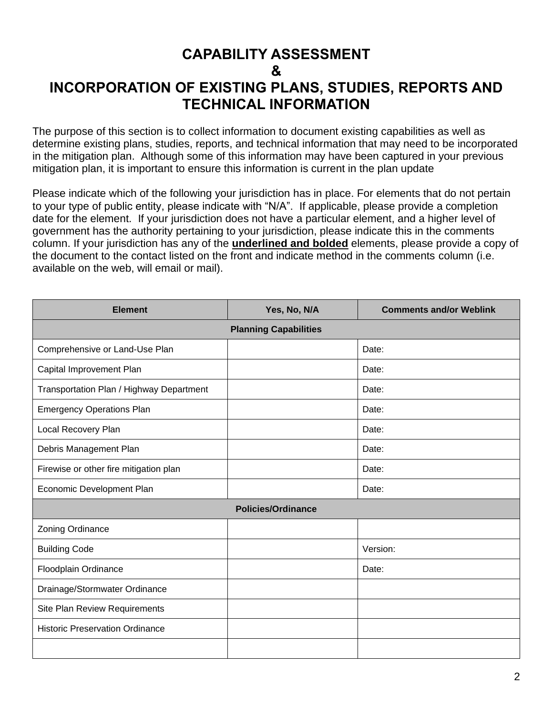## **CAPABILITY ASSESSMENT & INCORPORATION OF EXISTING PLANS, STUDIES, REPORTS AND TECHNICAL INFORMATION**

The purpose of this section is to collect information to document existing capabilities as well as determine existing plans, studies, reports, and technical information that may need to be incorporated in the mitigation plan. Although some of this information may have been captured in your previous mitigation plan, it is important to ensure this information is current in the plan update

Please indicate which of the following your jurisdiction has in place. For elements that do not pertain to your type of public entity, please indicate with "N/A". If applicable, please provide a completion date for the element. If your jurisdiction does not have a particular element, and a higher level of government has the authority pertaining to your jurisdiction, please indicate this in the comments column. If your jurisdiction has any of the **underlined and bolded** elements, please provide a copy of the document to the contact listed on the front and indicate method in the comments column (i.e. available on the web, will email or mail).

| <b>Element</b>                           | Yes, No, N/A                 | <b>Comments and/or Weblink</b> |
|------------------------------------------|------------------------------|--------------------------------|
|                                          | <b>Planning Capabilities</b> |                                |
| Comprehensive or Land-Use Plan           |                              | Date:                          |
| Capital Improvement Plan                 |                              | Date:                          |
| Transportation Plan / Highway Department |                              | Date:                          |
| <b>Emergency Operations Plan</b>         |                              | Date:                          |
| Local Recovery Plan                      |                              | Date:                          |
| Debris Management Plan                   |                              | Date:                          |
| Firewise or other fire mitigation plan   |                              | Date:                          |
| Economic Development Plan                |                              | Date:                          |
|                                          | <b>Policies/Ordinance</b>    |                                |
| Zoning Ordinance                         |                              |                                |
| <b>Building Code</b>                     |                              | Version:                       |
| Floodplain Ordinance                     |                              | Date:                          |
| Drainage/Stormwater Ordinance            |                              |                                |
| Site Plan Review Requirements            |                              |                                |
| <b>Historic Preservation Ordinance</b>   |                              |                                |
|                                          |                              |                                |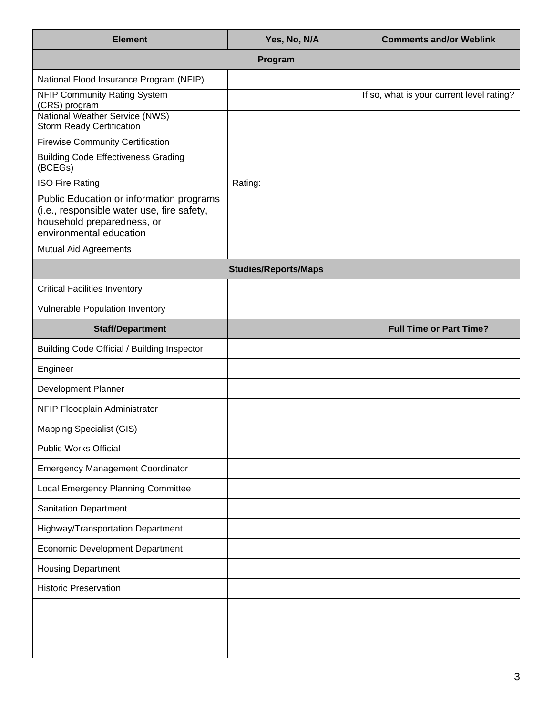| <b>Element</b>                                                                                                                                  | Yes, No, N/A                | <b>Comments and/or Weblink</b>            |
|-------------------------------------------------------------------------------------------------------------------------------------------------|-----------------------------|-------------------------------------------|
|                                                                                                                                                 | Program                     |                                           |
| National Flood Insurance Program (NFIP)                                                                                                         |                             |                                           |
| <b>NFIP Community Rating System</b><br>(CRS) program                                                                                            |                             | If so, what is your current level rating? |
| National Weather Service (NWS)<br><b>Storm Ready Certification</b>                                                                              |                             |                                           |
| <b>Firewise Community Certification</b>                                                                                                         |                             |                                           |
| <b>Building Code Effectiveness Grading</b><br>(BCEGs)                                                                                           |                             |                                           |
| <b>ISO Fire Rating</b>                                                                                                                          | Rating:                     |                                           |
| Public Education or information programs<br>(i.e., responsible water use, fire safety,<br>household preparedness, or<br>environmental education |                             |                                           |
| Mutual Aid Agreements                                                                                                                           |                             |                                           |
|                                                                                                                                                 | <b>Studies/Reports/Maps</b> |                                           |
| <b>Critical Facilities Inventory</b>                                                                                                            |                             |                                           |
| Vulnerable Population Inventory                                                                                                                 |                             |                                           |
| <b>Staff/Department</b>                                                                                                                         |                             | <b>Full Time or Part Time?</b>            |
| Building Code Official / Building Inspector                                                                                                     |                             |                                           |
| Engineer                                                                                                                                        |                             |                                           |
| <b>Development Planner</b>                                                                                                                      |                             |                                           |
| NFIP Floodplain Administrator                                                                                                                   |                             |                                           |
| Mapping Specialist (GIS)                                                                                                                        |                             |                                           |
| <b>Public Works Official</b>                                                                                                                    |                             |                                           |
| <b>Emergency Management Coordinator</b>                                                                                                         |                             |                                           |
| Local Emergency Planning Committee                                                                                                              |                             |                                           |
| <b>Sanitation Department</b>                                                                                                                    |                             |                                           |
| Highway/Transportation Department                                                                                                               |                             |                                           |
| <b>Economic Development Department</b>                                                                                                          |                             |                                           |
| <b>Housing Department</b>                                                                                                                       |                             |                                           |
| <b>Historic Preservation</b>                                                                                                                    |                             |                                           |
|                                                                                                                                                 |                             |                                           |
|                                                                                                                                                 |                             |                                           |
|                                                                                                                                                 |                             |                                           |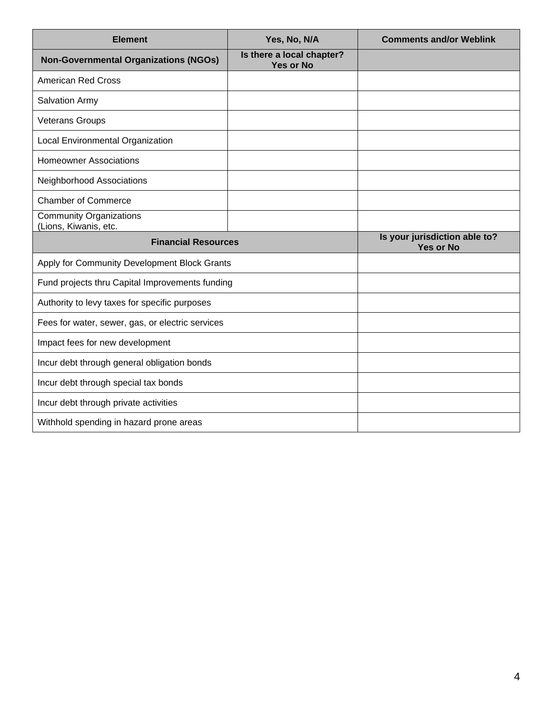| <b>Element</b>                                          | Yes, No, N/A                                  | <b>Comments and/or Weblink</b>                    |
|---------------------------------------------------------|-----------------------------------------------|---------------------------------------------------|
| <b>Non-Governmental Organizations (NGOs)</b>            | Is there a local chapter?<br><b>Yes or No</b> |                                                   |
| <b>American Red Cross</b>                               |                                               |                                                   |
| Salvation Army                                          |                                               |                                                   |
| <b>Veterans Groups</b>                                  |                                               |                                                   |
| Local Environmental Organization                        |                                               |                                                   |
| <b>Homeowner Associations</b>                           |                                               |                                                   |
| Neighborhood Associations                               |                                               |                                                   |
| <b>Chamber of Commerce</b>                              |                                               |                                                   |
| <b>Community Organizations</b><br>(Lions, Kiwanis, etc. |                                               |                                                   |
|                                                         |                                               |                                                   |
| <b>Financial Resources</b>                              |                                               | Is your jurisdiction able to?<br><b>Yes or No</b> |
| Apply for Community Development Block Grants            |                                               |                                                   |
| Fund projects thru Capital Improvements funding         |                                               |                                                   |
| Authority to levy taxes for specific purposes           |                                               |                                                   |
| Fees for water, sewer, gas, or electric services        |                                               |                                                   |
| Impact fees for new development                         |                                               |                                                   |
| Incur debt through general obligation bonds             |                                               |                                                   |
| Incur debt through special tax bonds                    |                                               |                                                   |
| Incur debt through private activities                   |                                               |                                                   |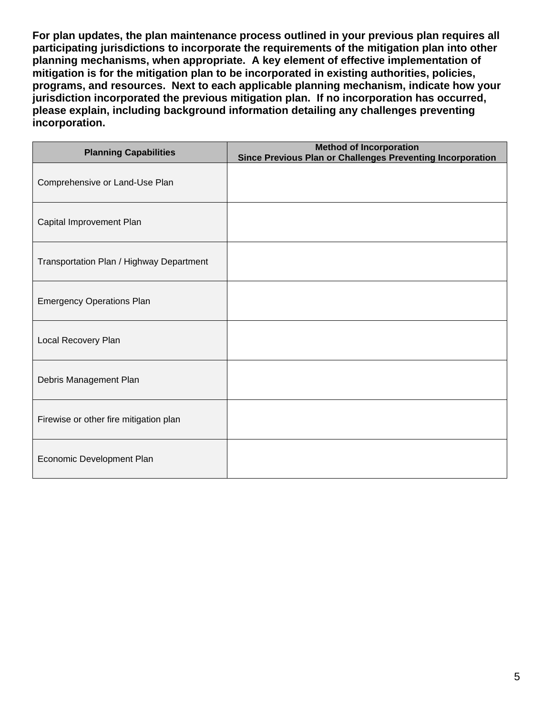**For plan updates, the plan maintenance process outlined in your previous plan requires all participating jurisdictions to incorporate the requirements of the mitigation plan into other planning mechanisms, when appropriate. A key element of effective implementation of mitigation is for the mitigation plan to be incorporated in existing authorities, policies, programs, and resources. Next to each applicable planning mechanism, indicate how your jurisdiction incorporated the previous mitigation plan. If no incorporation has occurred, please explain, including background information detailing any challenges preventing incorporation.**

| <b>Planning Capabilities</b>             | <b>Method of Incorporation</b><br>Since Previous Plan or Challenges Preventing Incorporation |
|------------------------------------------|----------------------------------------------------------------------------------------------|
| Comprehensive or Land-Use Plan           |                                                                                              |
| Capital Improvement Plan                 |                                                                                              |
| Transportation Plan / Highway Department |                                                                                              |
| <b>Emergency Operations Plan</b>         |                                                                                              |
| Local Recovery Plan                      |                                                                                              |
| Debris Management Plan                   |                                                                                              |
| Firewise or other fire mitigation plan   |                                                                                              |
| Economic Development Plan                |                                                                                              |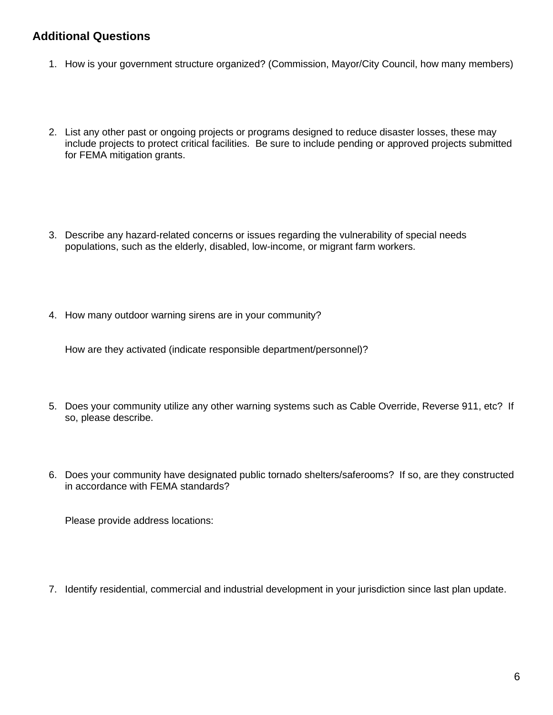### **Additional Questions**

- 1. How is your government structure organized? (Commission, Mayor/City Council, how many members)
- 2. List any other past or ongoing projects or programs designed to reduce disaster losses, these may include projects to protect critical facilities. Be sure to include pending or approved projects submitted for FEMA mitigation grants.
- 3. Describe any hazard-related concerns or issues regarding the vulnerability of special needs populations, such as the elderly, disabled, low-income, or migrant farm workers.
- 4. How many outdoor warning sirens are in your community?

How are they activated (indicate responsible department/personnel)?

- 5. Does your community utilize any other warning systems such as Cable Override, Reverse 911, etc? If so, please describe.
- 6. Does your community have designated public tornado shelters/saferooms? If so, are they constructed in accordance with FEMA standards?

Please provide address locations:

7. Identify residential, commercial and industrial development in your jurisdiction since last plan update.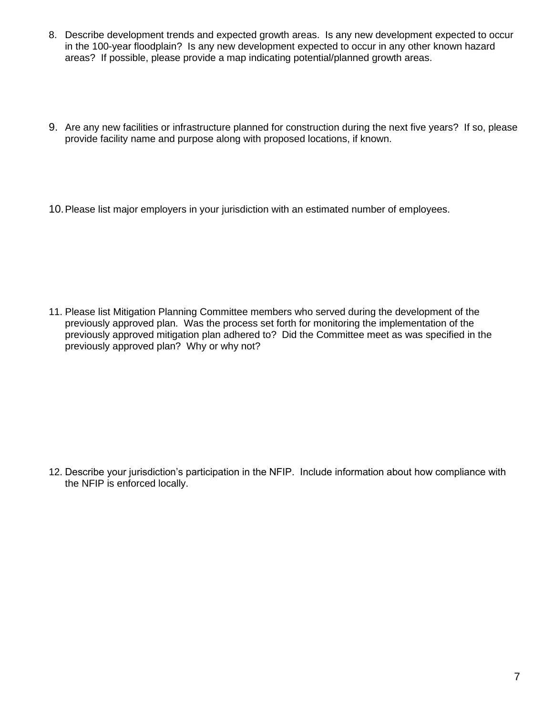- 8. Describe development trends and expected growth areas. Is any new development expected to occur in the 100-year floodplain? Is any new development expected to occur in any other known hazard areas? If possible, please provide a map indicating potential/planned growth areas.
- 9. Are any new facilities or infrastructure planned for construction during the next five years? If so, please provide facility name and purpose along with proposed locations, if known.
- 10.Please list major employers in your jurisdiction with an estimated number of employees.

11. Please list Mitigation Planning Committee members who served during the development of the previously approved plan. Was the process set forth for monitoring the implementation of the previously approved mitigation plan adhered to? Did the Committee meet as was specified in the previously approved plan? Why or why not?

12. Describe your jurisdiction's participation in the NFIP. Include information about how compliance with the NFIP is enforced locally.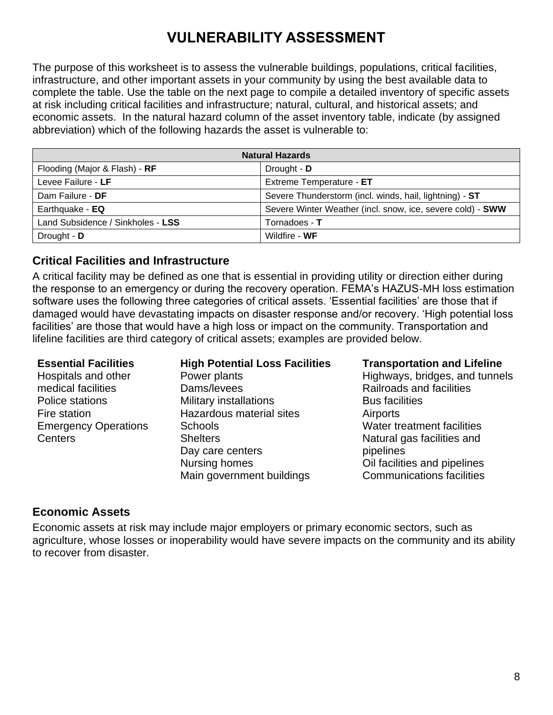# **VULNERABILITY ASSESSMENT**

The purpose of this worksheet is to assess the vulnerable buildings, populations, critical facilities, infrastructure, and other important assets in your community by using the best available data to complete the table. Use the table on the next page to compile a detailed inventory of specific assets at risk including critical facilities and infrastructure; natural, cultural, and historical assets; and economic assets. In the natural hazard column of the asset inventory table, indicate (by assigned abbreviation) which of the following hazards the asset is vulnerable to:

| <b>Natural Hazards</b>            |                                                            |  |
|-----------------------------------|------------------------------------------------------------|--|
| Flooding (Major & Flash) - RF     | Drought - D                                                |  |
| Levee Failure - LF                | Extreme Temperature - ET                                   |  |
| Dam Failure - DF                  | Severe Thunderstorm (incl. winds, hail, lightning) - ST    |  |
| Earthquake - EQ                   | Severe Winter Weather (incl. snow, ice, severe cold) - SWW |  |
| Land Subsidence / Sinkholes - LSS | Tornadoes - T                                              |  |
| Drought - D                       | Wildfire - WF                                              |  |

### **Critical Facilities and Infrastructure**

A critical facility may be defined as one that is essential in providing utility or direction either during the response to an emergency or during the recovery operation. FEMA's HAZUS-MH loss estimation software uses the following three categories of critical assets. 'Essential facilities' are those that if damaged would have devastating impacts on disaster response and/or recovery. 'High potential loss facilities' are those that would have a high loss or impact on the community. Transportation and lifeline facilities are third category of critical assets; examples are provided below.

Hospitals and other medical facilities Police stations Fire station Emergency Operations **Centers** 

### **Essential Facilities High Potential Loss Facilities Transportation and Lifeline**

Power plants Dams/levees Military installations Hazardous material sites **Schools Shelters** Day care centers Nursing homes Main government buildings

Highways, bridges, and tunnels Railroads and facilities Bus facilities **Airports** Water treatment facilities Natural gas facilities and pipelines Oil facilities and pipelines Communications facilities

### **Economic Assets**

Economic assets at risk may include major employers or primary economic sectors, such as agriculture, whose losses or inoperability would have severe impacts on the community and its ability to recover from disaster.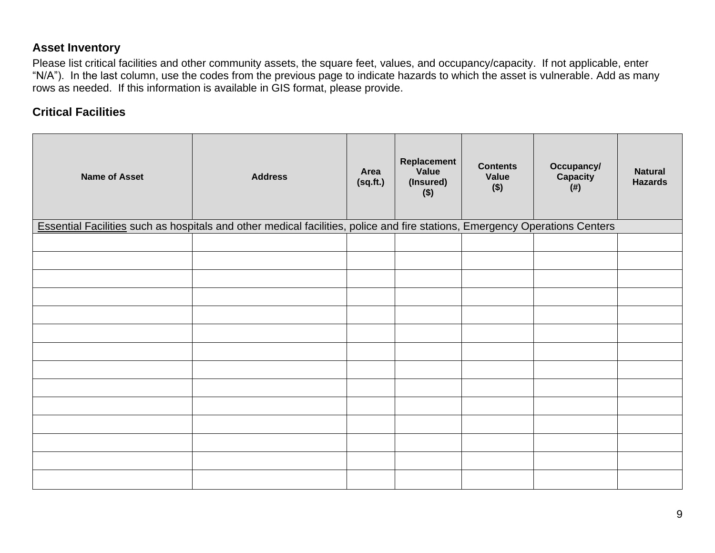### **Asset Inventory**

Please list critical facilities and other community assets, the square feet, values, and occupancy/capacity. If not applicable, enter "N/A"). In the last column, use the codes from the previous page to indicate hazards to which the asset is vulnerable. Add as many rows as needed. If this information is available in GIS format, please provide.

### **Critical Facilities**

| <b>Name of Asset</b> | <b>Address</b>                                                                                                              | Area<br>(sq.fr.) | Replacement<br>Value<br>(Insured)<br>$($ \$) | <b>Contents</b><br>Value<br>$($ \$) | Occupancy/<br>Capacity<br>(#) | <b>Natural</b><br><b>Hazards</b> |
|----------------------|-----------------------------------------------------------------------------------------------------------------------------|------------------|----------------------------------------------|-------------------------------------|-------------------------------|----------------------------------|
|                      | Essential Facilities such as hospitals and other medical facilities, police and fire stations, Emergency Operations Centers |                  |                                              |                                     |                               |                                  |
|                      |                                                                                                                             |                  |                                              |                                     |                               |                                  |
|                      |                                                                                                                             |                  |                                              |                                     |                               |                                  |
|                      |                                                                                                                             |                  |                                              |                                     |                               |                                  |
|                      |                                                                                                                             |                  |                                              |                                     |                               |                                  |
|                      |                                                                                                                             |                  |                                              |                                     |                               |                                  |
|                      |                                                                                                                             |                  |                                              |                                     |                               |                                  |
|                      |                                                                                                                             |                  |                                              |                                     |                               |                                  |
|                      |                                                                                                                             |                  |                                              |                                     |                               |                                  |
|                      |                                                                                                                             |                  |                                              |                                     |                               |                                  |
|                      |                                                                                                                             |                  |                                              |                                     |                               |                                  |
|                      |                                                                                                                             |                  |                                              |                                     |                               |                                  |
|                      |                                                                                                                             |                  |                                              |                                     |                               |                                  |
|                      |                                                                                                                             |                  |                                              |                                     |                               |                                  |
|                      |                                                                                                                             |                  |                                              |                                     |                               |                                  |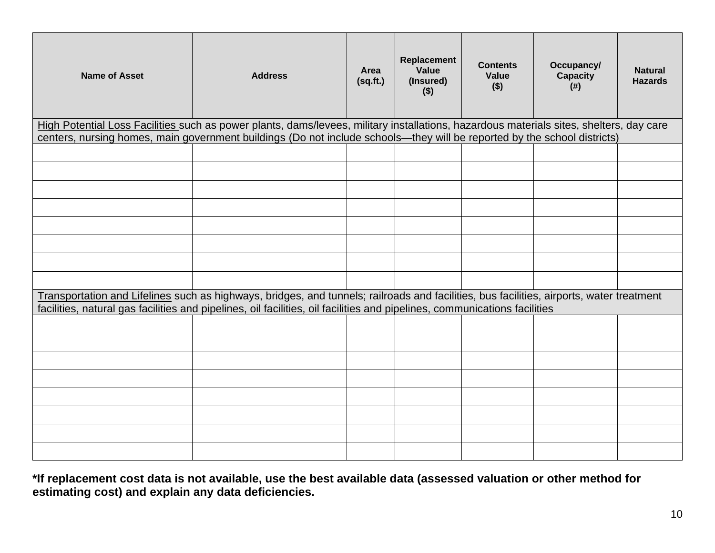| <b>Name of Asset</b> | <b>Address</b>                                                                                                                                                                                                                                                        | Area<br>(sq.fit.) | Replacement<br>Value<br>(Insured)<br>$($ \$) | <b>Contents</b><br>Value<br>$($ \$) | Occupancy/<br><b>Capacity</b><br>$($ # $)$ | <b>Natural</b><br><b>Hazards</b> |
|----------------------|-----------------------------------------------------------------------------------------------------------------------------------------------------------------------------------------------------------------------------------------------------------------------|-------------------|----------------------------------------------|-------------------------------------|--------------------------------------------|----------------------------------|
|                      | High Potential Loss Facilities such as power plants, dams/levees, military installations, hazardous materials sites, shelters, day care<br>centers, nursing homes, main government buildings (Do not include schools-they will be reported by the school districts)   |                   |                                              |                                     |                                            |                                  |
|                      |                                                                                                                                                                                                                                                                       |                   |                                              |                                     |                                            |                                  |
|                      |                                                                                                                                                                                                                                                                       |                   |                                              |                                     |                                            |                                  |
|                      |                                                                                                                                                                                                                                                                       |                   |                                              |                                     |                                            |                                  |
|                      |                                                                                                                                                                                                                                                                       |                   |                                              |                                     |                                            |                                  |
|                      |                                                                                                                                                                                                                                                                       |                   |                                              |                                     |                                            |                                  |
|                      |                                                                                                                                                                                                                                                                       |                   |                                              |                                     |                                            |                                  |
|                      |                                                                                                                                                                                                                                                                       |                   |                                              |                                     |                                            |                                  |
|                      |                                                                                                                                                                                                                                                                       |                   |                                              |                                     |                                            |                                  |
|                      | Transportation and Lifelines such as highways, bridges, and tunnels; railroads and facilities, bus facilities, airports, water treatment<br>facilities, natural gas facilities and pipelines, oil facilities, oil facilities and pipelines, communications facilities |                   |                                              |                                     |                                            |                                  |
|                      |                                                                                                                                                                                                                                                                       |                   |                                              |                                     |                                            |                                  |
|                      |                                                                                                                                                                                                                                                                       |                   |                                              |                                     |                                            |                                  |
|                      |                                                                                                                                                                                                                                                                       |                   |                                              |                                     |                                            |                                  |
|                      |                                                                                                                                                                                                                                                                       |                   |                                              |                                     |                                            |                                  |
|                      |                                                                                                                                                                                                                                                                       |                   |                                              |                                     |                                            |                                  |
|                      |                                                                                                                                                                                                                                                                       |                   |                                              |                                     |                                            |                                  |
|                      |                                                                                                                                                                                                                                                                       |                   |                                              |                                     |                                            |                                  |
|                      |                                                                                                                                                                                                                                                                       |                   |                                              |                                     |                                            |                                  |

**\*If replacement cost data is not available, use the best available data (assessed valuation or other method for estimating cost) and explain any data deficiencies.**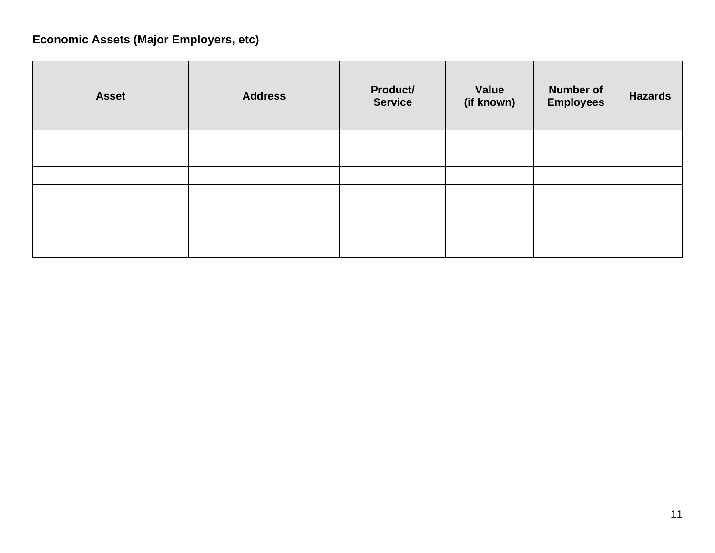# **Economic Assets (Major Employers, etc)**

| <b>Asset</b> | <b>Address</b> | Product/<br><b>Service</b> | Value<br>(if known) | <b>Number of</b><br><b>Employees</b> | <b>Hazards</b> |
|--------------|----------------|----------------------------|---------------------|--------------------------------------|----------------|
|              |                |                            |                     |                                      |                |
|              |                |                            |                     |                                      |                |
|              |                |                            |                     |                                      |                |
|              |                |                            |                     |                                      |                |
|              |                |                            |                     |                                      |                |
|              |                |                            |                     |                                      |                |
|              |                |                            |                     |                                      |                |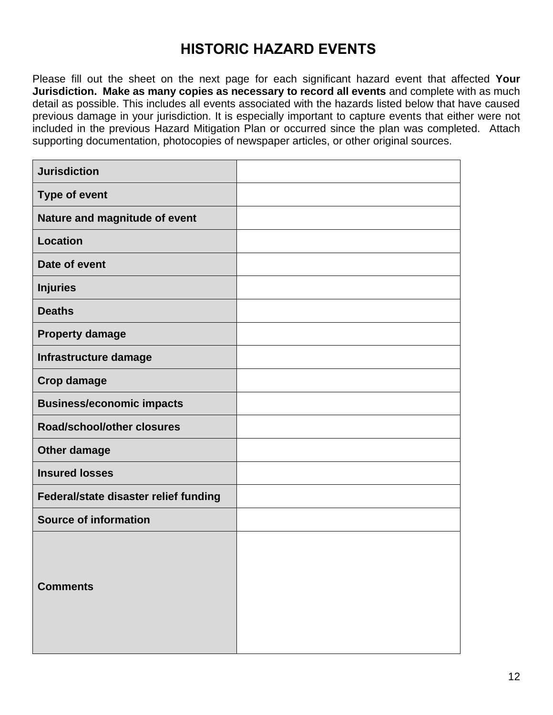## **HISTORIC HAZARD EVENTS**

Please fill out the sheet on the next page for each significant hazard event that affected **Your Jurisdiction. Make as many copies as necessary to record all events** and complete with as much detail as possible. This includes all events associated with the hazards listed below that have caused previous damage in your jurisdiction. It is especially important to capture events that either were not included in the previous Hazard Mitigation Plan or occurred since the plan was completed. Attach supporting documentation, photocopies of newspaper articles, or other original sources.

| <b>Jurisdiction</b>                   |  |
|---------------------------------------|--|
| <b>Type of event</b>                  |  |
| Nature and magnitude of event         |  |
| <b>Location</b>                       |  |
| Date of event                         |  |
| <b>Injuries</b>                       |  |
| <b>Deaths</b>                         |  |
| <b>Property damage</b>                |  |
| Infrastructure damage                 |  |
| <b>Crop damage</b>                    |  |
| <b>Business/economic impacts</b>      |  |
| Road/school/other closures            |  |
| Other damage                          |  |
| <b>Insured losses</b>                 |  |
| Federal/state disaster relief funding |  |
| <b>Source of information</b>          |  |
| <b>Comments</b>                       |  |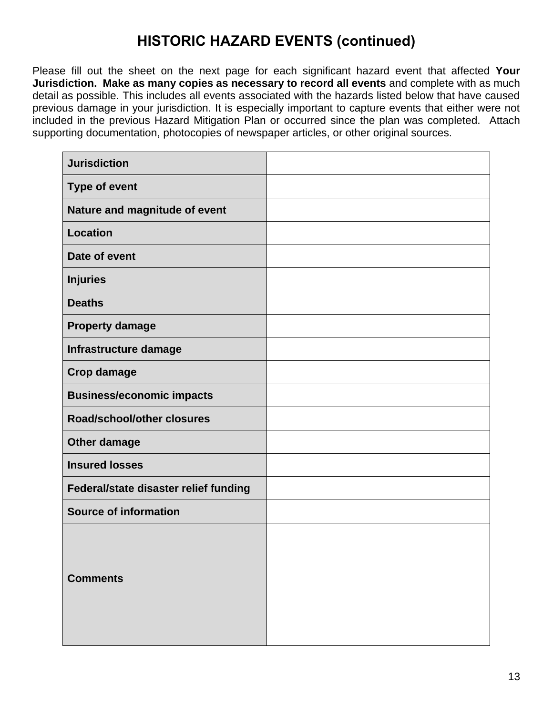# **HISTORIC HAZARD EVENTS (continued)**

Please fill out the sheet on the next page for each significant hazard event that affected **Your Jurisdiction. Make as many copies as necessary to record all events** and complete with as much detail as possible. This includes all events associated with the hazards listed below that have caused previous damage in your jurisdiction. It is especially important to capture events that either were not included in the previous Hazard Mitigation Plan or occurred since the plan was completed. Attach supporting documentation, photocopies of newspaper articles, or other original sources.

| <b>Jurisdiction</b>                   |  |
|---------------------------------------|--|
| <b>Type of event</b>                  |  |
| Nature and magnitude of event         |  |
| <b>Location</b>                       |  |
| Date of event                         |  |
| <b>Injuries</b>                       |  |
| <b>Deaths</b>                         |  |
| <b>Property damage</b>                |  |
| Infrastructure damage                 |  |
| <b>Crop damage</b>                    |  |
| <b>Business/economic impacts</b>      |  |
| <b>Road/school/other closures</b>     |  |
| Other damage                          |  |
| <b>Insured losses</b>                 |  |
| Federal/state disaster relief funding |  |
| <b>Source of information</b>          |  |
| <b>Comments</b>                       |  |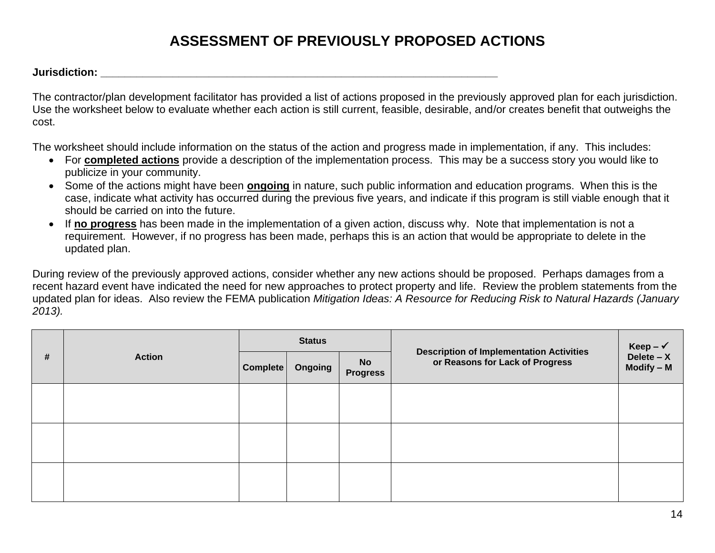# **ASSESSMENT OF PREVIOUSLY PROPOSED ACTIONS**

**Jurisdiction: \_\_\_\_\_\_\_\_\_\_\_\_\_\_\_\_\_\_\_\_\_\_\_\_\_\_\_\_\_\_\_\_\_\_\_\_\_\_\_\_\_\_\_\_\_\_\_\_\_\_\_\_\_\_\_\_\_\_\_\_\_\_\_\_\_\_**

The contractor/plan development facilitator has provided a list of actions proposed in the previously approved plan for each jurisdiction. Use the worksheet below to evaluate whether each action is still current, feasible, desirable, and/or creates benefit that outweighs the cost.

The worksheet should include information on the status of the action and progress made in implementation, if any. This includes:

- For **completed actions** provide a description of the implementation process. This may be a success story you would like to publicize in your community.
- Some of the actions might have been **ongoing** in nature, such public information and education programs. When this is the case, indicate what activity has occurred during the previous five years, and indicate if this program is still viable enough that it should be carried on into the future.
- If **no progress** has been made in the implementation of a given action, discuss why. Note that implementation is not a requirement. However, if no progress has been made, perhaps this is an action that would be appropriate to delete in the updated plan.

During review of the previously approved actions, consider whether any new actions should be proposed. Perhaps damages from a recent hazard event have indicated the need for new approaches to protect property and life. Review the problem statements from the updated plan for ideas. Also review the FEMA publication *Mitigation Ideas: A Resource for Reducing Risk to Natural Hazards (January 2013).*

| # | <b>Action</b> | <b>Status</b> |         |                              |                                                                                    | Keep – $\checkmark$          |
|---|---------------|---------------|---------|------------------------------|------------------------------------------------------------------------------------|------------------------------|
|   |               | Complete      | Ongoing | <b>No</b><br><b>Progress</b> | <b>Description of Implementation Activities</b><br>or Reasons for Lack of Progress | Delete $- X$<br>$Modify - M$ |
|   |               |               |         |                              |                                                                                    |                              |
|   |               |               |         |                              |                                                                                    |                              |
|   |               |               |         |                              |                                                                                    |                              |